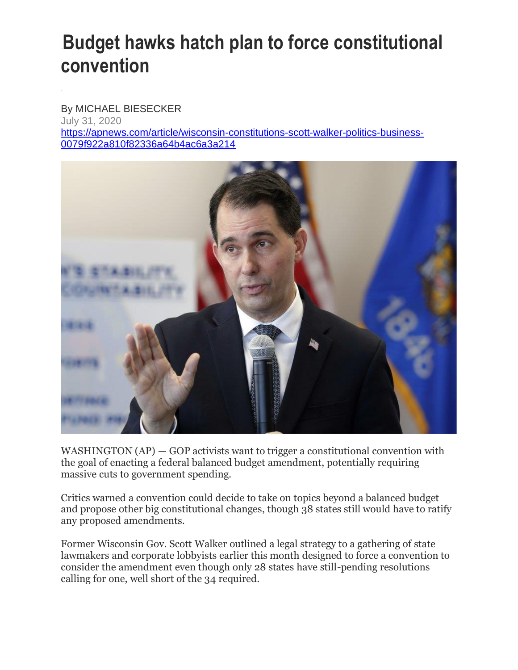## **Budget hawks hatch plan to force constitutional convention**

By MICHAEL BIESECKER July 31, 2020 [https://apnews.com/article/wisconsin-constitutions-scott-walker-politics-business-](https://apnews.com/article/wisconsin-constitutions-scott-walker-politics-business-0079f922a810f82336a64b4ac6a3a214)[0079f922a810f82336a64b4ac6a3a214](https://apnews.com/article/wisconsin-constitutions-scott-walker-politics-business-0079f922a810f82336a64b4ac6a3a214)



WASHINGTON (AP) – GOP activists want to trigger a constitutional convention with the goal of enacting a federal balanced budget amendment, potentially requiring massive cuts to government spending.

Critics warned a convention could decide to take on topics beyond a balanced budget and propose other big constitutional changes, though 38 states still would have to ratify any proposed amendments.

Former Wisconsin Gov. Scott Walker outlined a legal strategy to a gathering of state lawmakers and corporate lobbyists earlier this month designed to force a convention to consider the amendment even though only 28 states have still-pending resolutions calling for one, well short of the 34 required.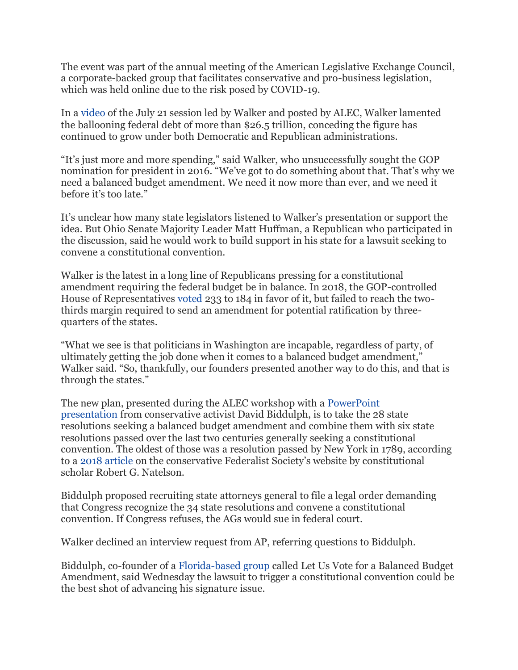The event was part of the annual meeting of the American Legislative Exchange Council, a corporate-backed group that facilitates conservative and pro-business legislation, which was held online due to the risk posed by COVID-19.

In a [video](https://www.alec.org/article/four-paths-to-a-state-drafted-voter-ratified-u-s-balance-budget-amendment-bba/) of the July 21 session led by Walker and posted by ALEC, Walker lamented the ballooning federal debt of more than \$26.5 trillion, conceding the figure has continued to grow under both Democratic and Republican administrations.

"It's just more and more spending," said Walker, who unsuccessfully sought the GOP nomination for president in 2016. "We've got to do something about that. That's why we need a balanced budget amendment. We need it now more than ever, and we need it before it's too late."

It's unclear how many state legislators listened to Walker's presentation or support the idea. But Ohio Senate Majority Leader Matt Huffman, a Republican who participated in the discussion, said he would work to build support in his state for a lawsuit seeking to convene a constitutional convention.

Walker is the latest in a long line of Republicans pressing for a constitutional amendment requiring the federal budget be in balance. In 2018, the GOP-controlled House of Representatives [voted](https://www.govtrack.us/congress/votes/115-2018/h138) 233 to 184 in favor of it, but failed to reach the twothirds margin required to send an amendment for potential ratification by threequarters of the states.

"What we see is that politicians in Washington are incapable, regardless of party, of ultimately getting the job done when it comes to a balanced budget amendment," Walker said. "So, thankfully, our founders presented another way to do this, and that is through the states."

The new plan, presented during the ALEC workshop with a [PowerPoint](https://letusvoteforbba.org/app/uploads/2020/07/D-34-States-v.-Congress-Taskforce-Solution-MJ.pdf)  [presentation](https://letusvoteforbba.org/app/uploads/2020/07/D-34-States-v.-Congress-Taskforce-Solution-MJ.pdf) from conservative activist David Biddulph, is to take the 28 state resolutions seeking a balanced budget amendment and combine them with six state resolutions passed over the last two centuries generally seeking a constitutional convention. The oldest of those was a resolution passed by New York in 1789, according to a [2018 article](https://fedsoc.org/commentary/publications/counting-to-two-thirds-how-close-are-we-to-a-convention-for-proposing-amendments-to-the-constitution) on the conservative Federalist Society's website by constitutional scholar Robert G. Natelson.

Biddulph proposed recruiting state attorneys general to file a legal order demanding that Congress recognize the 34 state resolutions and convene a constitutional convention. If Congress refuses, the AGs would sue in federal court.

Walker declined an interview request from AP, referring questions to Biddulph.

Biddulph, co-founder of a [Florida-based group](https://letusvoteforbba.org/) called Let Us Vote for a Balanced Budget Amendment, said Wednesday the lawsuit to trigger a constitutional convention could be the best shot of advancing his signature issue.